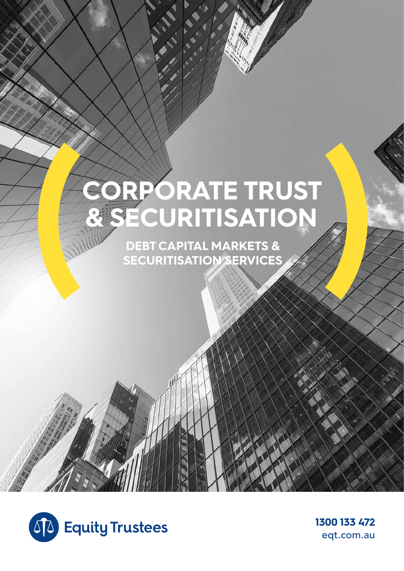# **CORPORATE TRUST & SECURITISATION**

**DEBT CAPITAL MARKETS & SECURITISATION SERVICES** 



**1300 133 472**  eqt.com.au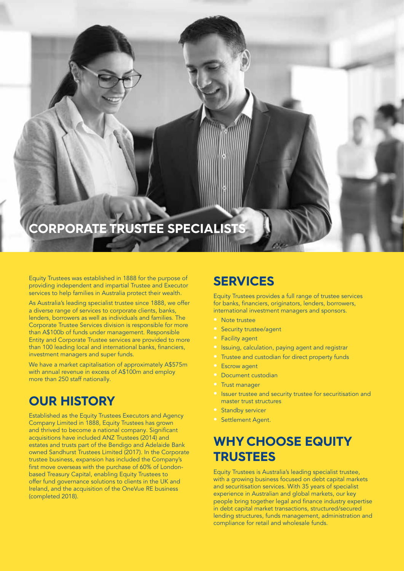## **CORPORATE TRUSTEE SPECIALISTS**

Equity Trustees was established in 1888 for the purpose of providing independent and impartial Trustee and Executor services to help families in Australia protect their wealth.

As Australia's leading specialist trustee since 1888, we offer a diverse range of services to corporate clients, banks, lenders, borrowers as well as individuals and families. The Corporate Trustee Services division is responsible for more than A\$100b of funds under management. Responsible Entity and Corporate Trustee services are provided to more than 100 leading local and international banks, financiers, investment managers and super funds.

We have a market capitalisation of approximately A\$575m with annual revenue in excess of A\$100m and employ more than 250 staff nationally.

## **OUR HISTORY**

Established as the Equity Trustees Executors and Agency Company Limited in 1888, Equity Trustees has grown and thrived to become a national company. Significant acquisitions have included ANZ Trustees (2014) and estates and trusts part of the Bendigo and Adelaide Bank owned Sandhurst Trustees Limited (2017). In the Corporate trustee business, expansion has included the Company's first move overseas with the purchase of 60% of Londonbased Treasury Capital, enabling Equity Trustees to offer fund governance solutions to clients in the UK and Ireland, and the acquisition of the OneVue RE business (completed 2018).

### **SERVICES**

Equity Trustees provides a full range of trustee services for banks, financiers, originators, lenders, borrowers, international investment managers and sponsors.

- Note trustee
- Security trustee/agent
- Facility agent
- Issuing, calculation, paying agent and registrar
- Trustee and custodian for direct property funds
- **Escrow agent**
- Document custodian
- Trust manager
- Issuer trustee and security trustee for securitisation and master trust structures
- Standby servicer
- Settlement Agent.

## **WHY CHOOSE EQUITY TRUSTEES**

Equity Trustees is Australia's leading specialist trustee, with a growing business focused on debt capital markets and securitisation services. With 35 years of specialist experience in Australian and global markets, our key people bring together legal and finance industry expertise in debt capital market transactions, structured/secured lending structures, funds management, administration and compliance for retail and wholesale funds.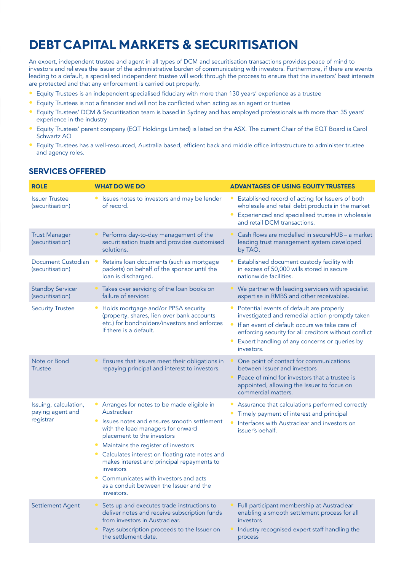## **DEBT CAPITAL MARKETS & SECURITISATION**

An expert, independent trustee and agent in all types of DCM and securitisation transactions provides peace of mind to investors and relieves the issuer of the administrative burden of communicating with investors. Furthermore, if there are events leading to a default, a specialised independent trustee will work through the process to ensure that the investors' best interests are protected and that any enforcement is carried out properly.

- Equity Trustees is an independent specialised fiduciary with more than 130 years' experience as a trustee
- Equity Trustees is not a financier and will not be conflicted when acting as an agent or trustee
- Equity Trustees' DCM & Securitisation team is based in Sydney and has employed professionals with more than 35 years' experience in the industry
- Equity Trustees' parent company (EQT Holdings Limited) is listed on the ASX. The current Chair of the EQT Board is Carol Schwartz AO
- Equity Trustees has a well-resourced, Australia based, efficient back and middle office infrastructure to administer trustee and agency roles.

#### **SERVICES OFFERED**

| <b>ROLE</b>                                            | <b>WHAT DO WE DO</b>                                                                                                                                                                                                                                                                                                                                                                                                                                  | <b>ADVANTAGES OF USING EQUITY TRUSTEES</b>                                                                                                                                                                                                                           |
|--------------------------------------------------------|-------------------------------------------------------------------------------------------------------------------------------------------------------------------------------------------------------------------------------------------------------------------------------------------------------------------------------------------------------------------------------------------------------------------------------------------------------|----------------------------------------------------------------------------------------------------------------------------------------------------------------------------------------------------------------------------------------------------------------------|
| <b>Issuer Trustee</b><br>(securitisation)              | Issues notes to investors and may be lender<br>٠<br>of record.                                                                                                                                                                                                                                                                                                                                                                                        | Established record of acting for Issuers of both<br>wholesale and retail debt products in the market<br>Experienced and specialised trustee in wholesale<br>and retail DCM transactions.                                                                             |
| <b>Trust Manager</b><br>(securitisation)               | Performs day-to-day management of the<br>securitisation trusts and provides customised<br>solutions.                                                                                                                                                                                                                                                                                                                                                  | Cash flows are modelled in secureHUB - a market<br>leading trust management system developed<br>by TAO.                                                                                                                                                              |
| Document Custodian<br>(securitisation)                 | Retains loan documents (such as mortgage<br>$\bullet$<br>packets) on behalf of the sponsor until the<br>loan is discharged.                                                                                                                                                                                                                                                                                                                           | Established document custody facility with<br>in excess of 50,000 wills stored in secure<br>nationwide facilities.                                                                                                                                                   |
| <b>Standby Servicer</b><br>(securitisation)            | Takes over servicing of the loan books on<br>$\bullet$<br>failure of servicer.                                                                                                                                                                                                                                                                                                                                                                        | We partner with leading servicers with specialist<br>expertise in RMBS and other receivables.                                                                                                                                                                        |
| <b>Security Trustee</b>                                | Holds mortgage and/or PPSA security<br>٠<br>(property, shares, lien over bank accounts<br>etc.) for bondholders/investors and enforces<br>if there is a default.                                                                                                                                                                                                                                                                                      | Potential events of default are properly<br>investigated and remedial action promptly taken<br>If an event of default occurs we take care of<br>enforcing security for all creditors without conflict<br>Expert handling of any concerns or queries by<br>investors. |
| Note or Bond<br><b>Trustee</b>                         | Ensures that Issuers meet their obligations in<br>repaying principal and interest to investors.                                                                                                                                                                                                                                                                                                                                                       | One point of contact for communications<br>between Issuer and investors<br>Peace of mind for investors that a trustee is<br>appointed, allowing the Issuer to focus on<br>commercial matters.                                                                        |
| Issuing, calculation,<br>paying agent and<br>registrar | Arranges for notes to be made eligible in<br>٠<br>Austraclear<br>Issues notes and ensures smooth settlement<br>$\bullet$<br>with the lead managers for onward<br>placement to the investors<br>Maintains the register of investors<br>Calculates interest on floating rate notes and<br>٠<br>makes interest and principal repayments to<br>investors<br>Communicates with investors and acts<br>as a conduit between the Issuer and the<br>investors. | Assurance that calculations performed correctly<br>Timely payment of interest and principal<br>Interfaces with Austraclear and investors on<br>issuer's behalf.                                                                                                      |
| Settlement Agent                                       | Sets up and executes trade instructions to<br>deliver notes and receive subscription funds<br>from investors in Austraclear.<br>Pays subscription proceeds to the Issuer on<br>the settlement date.                                                                                                                                                                                                                                                   | Full participant membership at Austraclear<br>enabling a smooth settlement process for all<br>investors<br>Industry recognised expert staff handling the<br>process                                                                                                  |
|                                                        |                                                                                                                                                                                                                                                                                                                                                                                                                                                       |                                                                                                                                                                                                                                                                      |